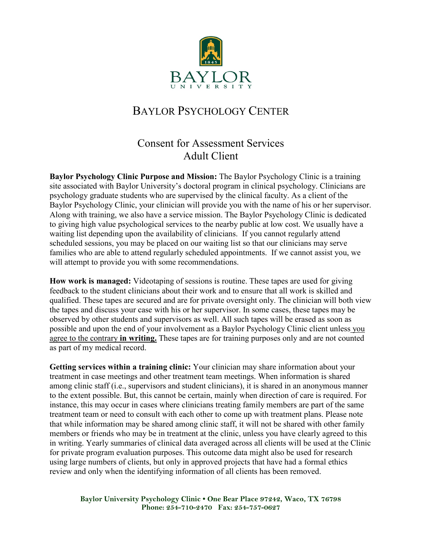

## BAYLOR PSYCHOLOGY CENTER

## Consent for Assessment Services Adult Client

**Baylor Psychology Clinic Purpose and Mission:** The Baylor Psychology Clinic is a training site associated with Baylor University's doctoral program in clinical psychology. Clinicians are psychology graduate students who are supervised by the clinical faculty. As a client of the Baylor Psychology Clinic, your clinician will provide you with the name of his or her supervisor. Along with training, we also have a service mission. The Baylor Psychology Clinic is dedicated to giving high value psychological services to the nearby public at low cost. We usually have a waiting list depending upon the availability of clinicians. If you cannot regularly attend scheduled sessions, you may be placed on our waiting list so that our clinicians may serve families who are able to attend regularly scheduled appointments. If we cannot assist you, we will attempt to provide you with some recommendations.

**How work is managed:** Videotaping of sessions is routine. These tapes are used for giving feedback to the student clinicians about their work and to ensure that all work is skilled and qualified. These tapes are secured and are for private oversight only. The clinician will both view the tapes and discuss your case with his or her supervisor. In some cases, these tapes may be observed by other students and supervisors as well. All such tapes will be erased as soon as possible and upon the end of your involvement as a Baylor Psychology Clinic client unless you agree to the contrary **in writing.** These tapes are for training purposes only and are not counted as part of my medical record.

**Getting services within a training clinic:** Your clinician may share information about your treatment in case meetings and other treatment team meetings. When information is shared among clinic staff (i.e., supervisors and student clinicians), it is shared in an anonymous manner to the extent possible. But, this cannot be certain, mainly when direction of care is required. For instance, this may occur in cases where clinicians treating family members are part of the same treatment team or need to consult with each other to come up with treatment plans. Please note that while information may be shared among clinic staff, it will not be shared with other family members or friends who may be in treatment at the clinic, unless you have clearly agreed to this in writing. Yearly summaries of clinical data averaged across all clients will be used at the Clinic for private program evaluation purposes. This outcome data might also be used for research using large numbers of clients, but only in approved projects that have had a formal ethics review and only when the identifying information of all clients has been removed.

**Baylor University Psychology Clinic • One Bear Place 97242, Waco, TX 76798 Phone: 254-710-2470 Fax: 254-757-0627**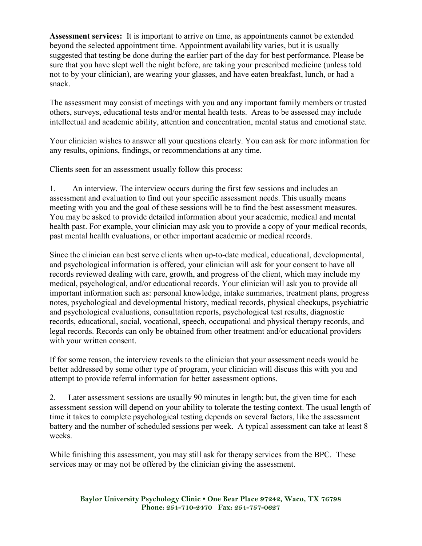**Assessment services:** It is important to arrive on time, as appointments cannot be extended beyond the selected appointment time. Appointment availability varies, but it is usually suggested that testing be done during the earlier part of the day for best performance. Please be sure that you have slept well the night before, are taking your prescribed medicine (unless told not to by your clinician), are wearing your glasses, and have eaten breakfast, lunch, or had a snack.

The assessment may consist of meetings with you and any important family members or trusted others, surveys, educational tests and/or mental health tests. Areas to be assessed may include intellectual and academic ability, attention and concentration, mental status and emotional state.

Your clinician wishes to answer all your questions clearly. You can ask for more information for any results, opinions, findings, or recommendations at any time.

Clients seen for an assessment usually follow this process:

1. An interview. The interview occurs during the first few sessions and includes an assessment and evaluation to find out your specific assessment needs. This usually means meeting with you and the goal of these sessions will be to find the best assessment measures. You may be asked to provide detailed information about your academic, medical and mental health past. For example, your clinician may ask you to provide a copy of your medical records, past mental health evaluations, or other important academic or medical records.

Since the clinician can best serve clients when up-to-date medical, educational, developmental, and psychological information is offered, your clinician will ask for your consent to have all records reviewed dealing with care, growth, and progress of the client, which may include my medical, psychological, and/or educational records. Your clinician will ask you to provide all important information such as: personal knowledge, intake summaries, treatment plans, progress notes, psychological and developmental history, medical records, physical checkups, psychiatric and psychological evaluations, consultation reports, psychological test results, diagnostic records, educational, social, vocational, speech, occupational and physical therapy records, and legal records. Records can only be obtained from other treatment and/or educational providers with your written consent.

If for some reason, the interview reveals to the clinician that your assessment needs would be better addressed by some other type of program, your clinician will discuss this with you and attempt to provide referral information for better assessment options.

2. Later assessment sessions are usually 90 minutes in length; but, the given time for each assessment session will depend on your ability to tolerate the testing context. The usual length of time it takes to complete psychological testing depends on several factors, like the assessment battery and the number of scheduled sessions per week. A typical assessment can take at least 8 weeks.

While finishing this assessment, you may still ask for therapy services from the BPC. These services may or may not be offered by the clinician giving the assessment.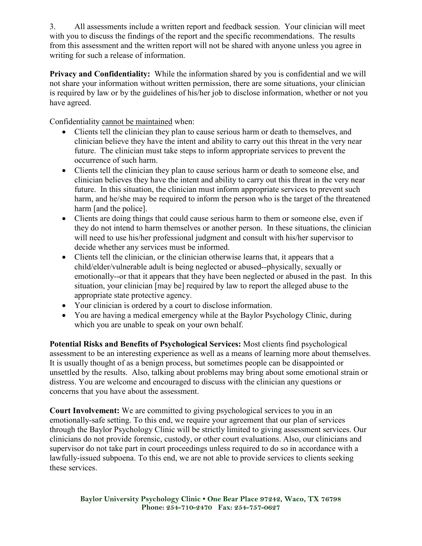3. All assessments include a written report and feedback session. Your clinician will meet with you to discuss the findings of the report and the specific recommendations. The results from this assessment and the written report will not be shared with anyone unless you agree in writing for such a release of information.

**Privacy and Confidentiality:** While the information shared by you is confidential and we will not share your information without written permission, there are some situations, your clinician is required by law or by the guidelines of his/her job to disclose information, whether or not you have agreed.

Confidentiality cannot be maintained when:

- Clients tell the clinician they plan to cause serious harm or death to themselves, and clinician believe they have the intent and ability to carry out this threat in the very near future. The clinician must take steps to inform appropriate services to prevent the occurrence of such harm.
- Clients tell the clinician they plan to cause serious harm or death to someone else, and clinician believes they have the intent and ability to carry out this threat in the very near future. In this situation, the clinician must inform appropriate services to prevent such harm, and he/she may be required to inform the person who is the target of the threatened harm [and the police].
- Clients are doing things that could cause serious harm to them or someone else, even if they do not intend to harm themselves or another person. In these situations, the clinician will need to use his/her professional judgment and consult with his/her supervisor to decide whether any services must be informed.
- Clients tell the clinician, or the clinician otherwise learns that, it appears that a child/elder/vulnerable adult is being neglected or abused--physically, sexually or emotionally--or that it appears that they have been neglected or abused in the past. In this situation, your clinician [may be] required by law to report the alleged abuse to the appropriate state protective agency.
- Your clinician is ordered by a court to disclose information.
- You are having a medical emergency while at the Baylor Psychology Clinic, during which you are unable to speak on your own behalf.

**Potential Risks and Benefits of Psychological Services:** Most clients find psychological assessment to be an interesting experience as well as a means of learning more about themselves. It is usually thought of as a benign process, but sometimes people can be disappointed or unsettled by the results. Also, talking about problems may bring about some emotional strain or distress. You are welcome and encouraged to discuss with the clinician any questions or concerns that you have about the assessment.

**Court Involvement:** We are committed to giving psychological services to you in an emotionally-safe setting. To this end, we require your agreement that our plan of services through the Baylor Psychology Clinic will be strictly limited to giving assessment services. Our clinicians do not provide forensic, custody, or other court evaluations. Also, our clinicians and supervisor do not take part in court proceedings unless required to do so in accordance with a lawfully-issued subpoena. To this end, we are not able to provide services to clients seeking these services.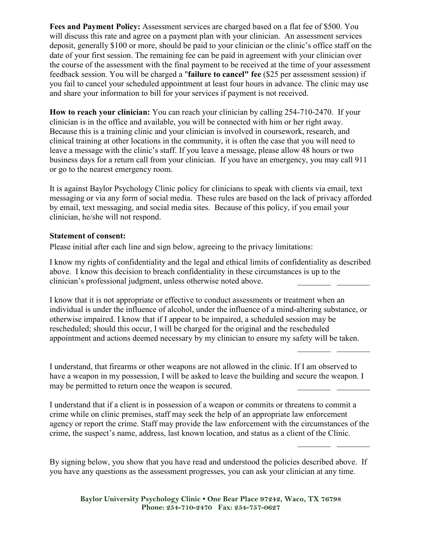Fees and Payment Policy: Assessment services are charged based on a flat fee of \$500. You will discuss this rate and agree on a payment plan with your clinician. An assessment services deposit, generally \$100 or more, should be paid to your clinician or the clinic's office staff on the date of your first session. The remaining fee can be paid in agreement with your clinician over the course of the assessment with the final payment to be received at the time of your assessment feedback session. You will be charged a "**failure to cancel" fee** (\$25 per assessment session) if you fail to cancel your scheduled appointment at least four hours in advance. The clinic may use and share your information to bill for your services if payment is not received.

**How to reach your clinician:** You can reach your clinician by calling 254-710-2470. If your clinician is in the office and available, you will be connected with him or her right away. Because this is a training clinic and your clinician is involved in coursework, research, and clinical training at other locations in the community, it is often the case that you will need to leave a message with the clinic's staff. If you leave a message, please allow 48 hours or two business days for a return call from your clinician. If you have an emergency, you may call 911 or go to the nearest emergency room.

It is against Baylor Psychology Clinic policy for clinicians to speak with clients via email, text messaging or via any form of social media. These rules are based on the lack of privacy afforded by email, text messaging, and social media sites. Because of this policy, if you email your clinician, he/she will not respond.

## **Statement of consent:**

Please initial after each line and sign below, agreeing to the privacy limitations:

I know my rights of confidentiality and the legal and ethical limits of confidentiality as described above. I know this decision to breach confidentiality in these circumstances is up to the clinician's professional judgment, unless otherwise noted above.

I know that it is not appropriate or effective to conduct assessments or treatment when an individual is under the influence of alcohol, under the influence of a mind-altering substance, or otherwise impaired. I know that if I appear to be impaired, a scheduled session may be rescheduled; should this occur, I will be charged for the original and the rescheduled appointment and actions deemed necessary by my clinician to ensure my safety will be taken.

I understand, that firearms or other weapons are not allowed in the clinic. If I am observed to have a weapon in my possession. I will be asked to leave the building and secure the weapon. I may be permitted to return once the weapon is secured.

I understand that if a client is in possession of a weapon or commits or threatens to commit a crime while on clinic premises, staff may seek the help of an appropriate law enforcement agency or report the crime. Staff may provide the law enforcement with the circumstances of the crime, the suspect's name, address, last known location, and status as a client of the Clinic.

By signing below, you show that you have read and understood the policies described above. If you have any questions as the assessment progresses, you can ask your clinician at any time.

**Baylor University Psychology Clinic • One Bear Place 97242, Waco, TX 76798 Phone: 254-710-2470 Fax: 254-757-0627**